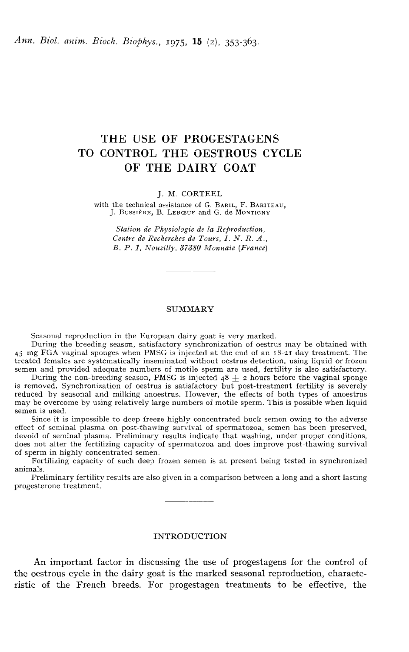# THE USE OF PROGESTAGENS TO CONTROL THE OESTROUS CYCLE OF THE DAIRY GOAT

J. M. CORTEEL

the technical assistance of G. BARIL, F. BARITEAU,<br>J. BUSSIÈRE, B. LEBŒUF and G. de MONTIGNY

Station de Physiologie de la Reproduction, Centre de Recherches de Tours, I. N. R. A., B. P. 1, Nouzilly, 3ï380 Monnaie (France)

#### SUMMARY

Seasonal reproduction in the European dairy goat is very marked.

During the breeding seasan, satisfaetory synchronization of oestrus may be obtained with Seasonal reproduction in the European dairy goat is very marked.<br>During the breeding season, satisfactory synchronization of oestrus may be obtained with<br>45 mg FGA vaginal sponges when PMSG is injected at the end of an 18treated females are systematically inseminated without oestrus detection, using liquid or frozen semen and provided adequate numbers of motile sperm are used, fertility is also satisfactory.

During the non-breeding season, PMSG is injected  $48 \pm 2$  hours before the vaginal sponge is removed. Synchronization of oestrus is satisfactory but post-treatment fertility is severely reduced by seasonal and milking anoestrus. However, the effects of both types of anoestrus may be overcome by using relatively large numbers of motile sperm. This is possible when liquid semen is used.

Since it is impossible to deep freeze highly concentrated buck semen owing to the adverse effect of seminal plasma on post-thawing survival of spermatozoa, semen has been preserved, devoid of seminal plasma. Preliminary results indicate that washing, under proper conditions, does not alter the fertilizing capacity of spermatozoa and does improve post-thawing survival of sperm in highly concentrated semen.

Fertilizing capacity of such deep frozen semen is at present being tested in synchronized animals.

Preliminary fertility results are also given in a comparison between a long and a short lasting - - progesterone treatment.

#### INTRODUCTION

An important factor in discussing the use of progestagens for the control of the oestrous cycle in the dairy goat is the marked seasonal reproduction, characteristic of the French breeds. For progestagen treatments to be effective, the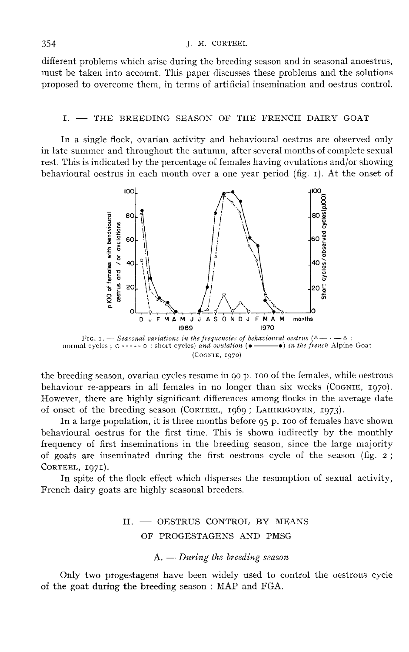different problems which arise during the breeding season and in seasonal anoestrus, must be taken into account. This paper discusses these problems and the solutions proposed to overcome them, in terms of artificial insemination and oestrus control.

#### $I.$   $-$  THE BREEDING SEASON OF THE FRENCH DAIRY GOAT

In a single flock, ovarian activity and behavioural oestrus are observed only in late summer and throughout the autumn, after several months of complete sexual rest. This is indicated by the percentage of females having ovulations and/or showing behavioural oestrus in each month over a one year period (fig. r). At the onset of



the breeding season, ovarian cycles resume in go p. 100 of the females, while oestrous behaviour re-appears in all females in no longer than six weeks (COGNIE, 1970). However, there are highly significant differences among flocks in the average date FIG. I. — *Seasonal variations in the frequencies of behavioural oestrus*  $(\triangle - \cdot - \triangle)$ :<br>normal cycles;  $\circ$  ----- $\circ$ : short cycles) *and ovulation* ( $\bullet$ — $\bullet$ ) *in the french* Alpine Goat<br>(COGNIE, 1970)<br>the breeding seaso

In a large population, it is three months before g5 p. 100 of females have shown behavioural oestrus for the first time. This is shown indirectly by the monthly frequency of first inseminations in the breeding season, since the large majority of goats are inseminated during the first oestrous cycle of the season (fig. 2 ; CORTEEL, 1971).

In spite of the flock effect which disperses the resumption of sexual activity, French dairy goats are highly seasonal breeders.

# II. - OESTRUS CONTROL BY MEANS OF PROGESTAGENS AND PMSG<br>A. - During the breeding season

Only two progestagens have been widely used to control the oestrous cycle of the goat during the breeding season : MAP and FGA.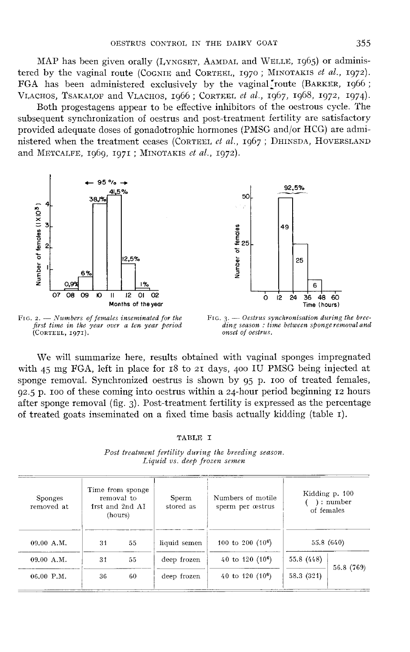OESTRUS CONTROL, IN THE DAIRY GOAT 355<br>MAP has been given orally (LyNGSET, AAMDAL, and WELLE, 1965) or adminis-MAP has been given orally (LYNGSET, AAMDAL and WELLE, 1965) or administered by the vaginal route (COGNIE and CORTEEL, 1970; MINOTAKIS *et al.*, 1972). FGA has been administered exclusively by the vaginal route (BARKER, 196 FGA has been administered exclusively by the vaginal route (BARKER, 1966 ;

Both progestagens appear to be effective inhibitors of the oestrous cycle. The subsequent synchronization of oestrus and post-treatment fertility are satisfactory provided adequate doses of gonadotrophic hormones (PMSG and/or HCG) are admi-<br>nistered when the treatment ceases (CORTEEL *et al.*,  $1967$ ; DHINSDA, HOVERSLAND tered by the vaginal route (COGNIE and CORTEEL, 1970; MINOTAKIS *et al.*, 1972).<br>FGA has been administered exclusively by the vaginal route (BARKER, 1966; VLACHOS, TSAKALOF and VLACHOS, 1966; CORTEEL *et al.*, 1967, 1968, VLACHOS, TSAKALOF and VLACHOS, 1966; CORTEEL *et al.*, 1967, 1968, 1972, 1974).<br>Both progestagens appear to be effective inhibitors of the oestrous cycle. The<br>subsequent synchronization of oestrus and post-treatment ferti





FIG. 2.  $-$  Numbers of females inseminated for the first time in the year over a ten year period (CORTEEL, 1971).

FIG.  $3.$  - Oestrus synchronisation during the breeding season: time between sponge removal and onset of oestrus.

We will summarize here, results obtained with vaginal sponges impregnated with  $45$  mg FGA, left in place for  $18$  to  $2I$  days,  $400$  IU PMSG being injected at sponge removal. Synchronized oestrus is shown by 95 p. 100 of treated females, 92.5 p. 100 of these coming into oestrus within a 24-hour period beginning 12 hours after sponge removal (fig. 3). Post-treatment fertility is expressed as the percentage of treated goats inseminated on a fixed time basis actually kidding (table r).

#### TABLE I

| <b>Sponges</b><br>removed at |    | Time from sponge<br>removal to<br>1rst and 2nd AI<br>(hours) | Sperm<br>stored as | Numbers of motile<br>sperm per œstrus |            | Kidding p. 100<br>: number<br>of females |
|------------------------------|----|--------------------------------------------------------------|--------------------|---------------------------------------|------------|------------------------------------------|
| 09.00 A.M.                   | 31 | 55                                                           | liquid semen       | 100 to 200 $(10^6)$                   |            | 55.8 (640)                               |
| 09.00 A.M.                   | 31 | 55                                                           | deep frozen        | 40 to $120(10^6)$                     | 55.8 (448) |                                          |
| $06.00$ P.M.                 | 36 | 60                                                           | deep frozen        | 40 to 120 $(10^6)$                    | 58.3 (321) | 56.8 (769)                               |

Post treatment fertility during the breeding season. Liquid vs. deep frozen semen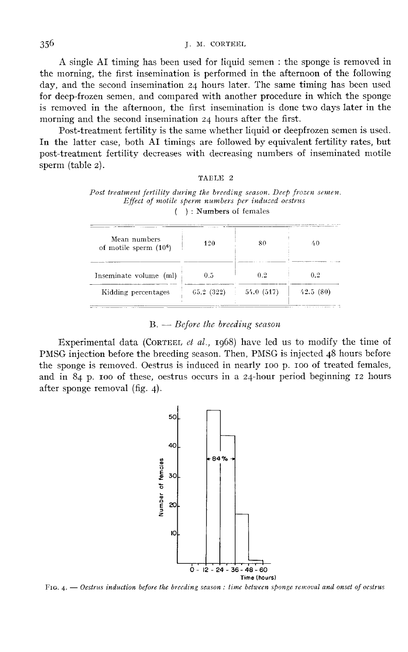A single AI timing has been used for liquid semen : the sponge is removed in the morning, the first insemination is performed in the afternoon of the following day, and the second insemination 24 hours later. The same timing has been used for deep-frozen semen, and compared with another procedure in which the sponge is removed in the afternoon, the first insemination is done two days later in the morning and the second insemination 24 hours after the first.

Post-treatment fertility is the same whether liquid or deepfrozen semen is used. In the latter case, both AI timings are followed by equivalent fertility rates, but post-treatment fertility decreases with decreasing numbers of inseminated motile sperm (table 2).

#### TAELE 2

| Post treatment fertility during the breeding season. Deep frozen semen.<br>Effect of motile sperm numbers per induced oestrus |                            |  |  |  |  |  |
|-------------------------------------------------------------------------------------------------------------------------------|----------------------------|--|--|--|--|--|
|                                                                                                                               | $( )$ : Numbers of females |  |  |  |  |  |
|                                                                                                                               |                            |  |  |  |  |  |
| Mean numbers                                                                                                                  |                            |  |  |  |  |  |

| Mean numbers<br>of motile sperm $(106)$ | 420       | 80                           | 40       |
|-----------------------------------------|-----------|------------------------------|----------|
| Inseminate volume (ml)                  | 0.5       | 02                           | 02       |
| Kidding percentages                     | 65.2(322) | 54.0(517)<br>$\mathcal{X}$ . | 42.5(80) |

#### $B. - Before the breeding season$

Experimental data (CORTEEL et al., 1968) have led us to modify the time of PMSG injection before the breeding season. Then, PMSG is injected 48 hours before the sponge is removed. Oestrus is induced in nearly 100 p. 100 of treated females, and in 84 p. <sup>100</sup> of these, oestrus occurs in a 24-hour period beginning 12 hours after sponge removal  $(fig. 4)$ .



FIG.  $4.$  - Oestrus induction before the breeding season : time between sponge removal and onset of oestrus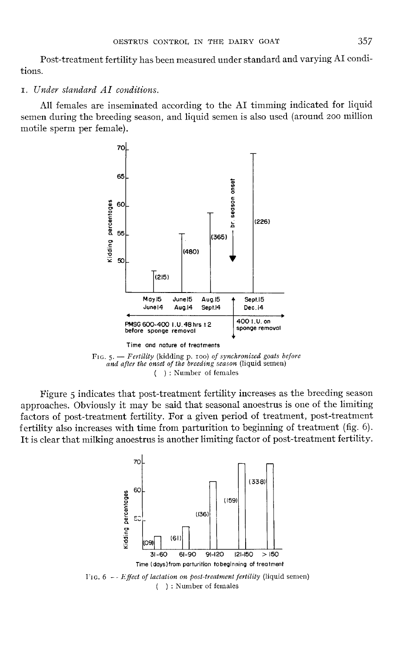Post-treatment fertility has been measured under standard and varying AI conditions.

### 1. Under standard AI conditions.

All females are inseminated according to the AI timming indicated for liquid semen during the breeding season, and liquid semen is also used (around 200 million motile sperm per female).



and after the onset of the breeding season (liquid semen) ): Number of females  $\left($ 

Figure 5 indicates that post-treatment fertility increases as the breeding season approaches. Obviously it may be said that seasonal anoestrus is one of the limiting factors of post-treatment fertility. For a given period of treatment, post-treatment fertility also increases with time from parturition to beginning of treatment (fig. 6). It is clear that milking anoestrus is another limiting factor of post-treatment fertility.

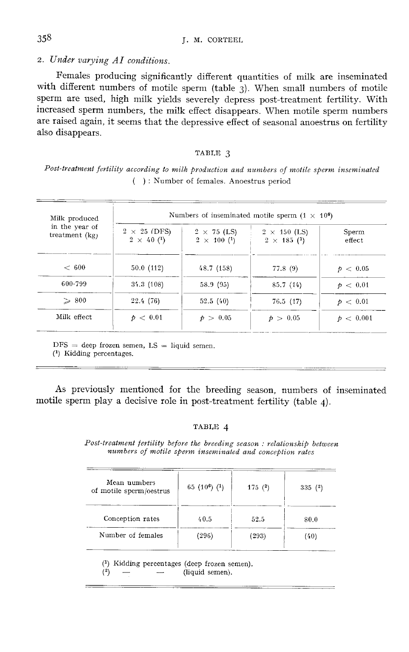# 358<br>2. Under varying AI conditions.

Females producing significantly different quantities of milk are inseminated with different numbers of motile sperm (table 3). When small numbers of motile sperm are used, high milk yields severely depress post-treatment fertility. With increased sperm numbers, the milk effect disappears. When motile sperm numbers are raised again, it seems that the depressive effect of seasonal anoestrus on fertility also disappears.

#### TABLE 3

Post-treatment fertility according to milk production and numbers of motile sperm inseminated  $( )$ : Number of females. Anoestrus period

| Milk produced                      | Numbers of inseminated motile sperm $(1 \times 10^6)$ |                                          |                                           |                   |  |
|------------------------------------|-------------------------------------------------------|------------------------------------------|-------------------------------------------|-------------------|--|
| in the year of<br>treatment $(kg)$ | $2 \times 25$ (DFS)<br>$2 \times 40$ (1)              | $2 \times 75$ (LS)<br>$2 \times 100$ (1) | $2 \times 150$ (LS)<br>$2 \times 185$ (1) | Sperm<br>effect   |  |
| ~<~600                             | 50.0(112)                                             | 48.7 (158)                               | 77.8(9)                                   | p > 0.05          |  |
| 600-799                            | 34.3(108)                                             | 58.9 (95)                                | 85.7(14)                                  | p > 0.01          |  |
| $\geqslant 800$                    | 22.4 (76)                                             | 52.5(40)                                 | 76.5(17)                                  | p > 0.01          |  |
| Milk effect                        | p < 0.01                                              | p > 0.05                                 | p > 0.05                                  | $p \, < \, 0.001$ |  |

 $DFS = deep frozen semen, LS = liquid semen.$ 

 $(1)$  Kidding percentages.

As previously mentioned for the breeding season, numbers of inseminated motile sperm play a decisive role in post-treatment fertility (table 4).

#### TABLE 4

Post-treatment fertility before the breeding season: relationship between numbers of motile sperm inseminated and conception rates

| Mean numbers<br>of motile sperm/oestrus | 65 (10 <sup>6</sup> ) ( <sup>1</sup> ) | 175(2) | 335(2) |
|-----------------------------------------|----------------------------------------|--------|--------|
| Conception rates                        | 40.5                                   | 52.5   | 80.0   |
| Number of females                       | (296)                                  | (293)  | (40)   |

 $(1)$  Kidding percentages (deep frozen semen).  $(2)$ 

(liquid semen).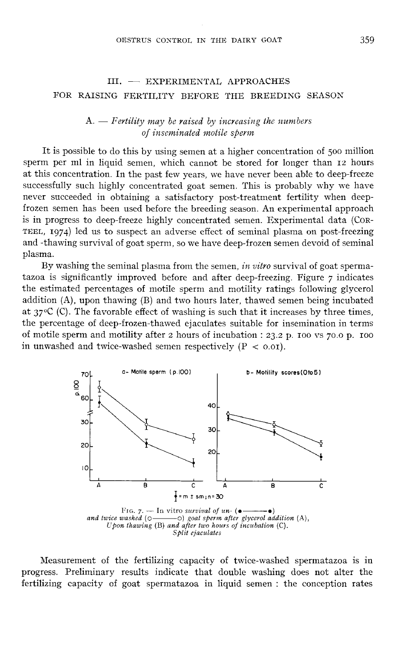## III. - EXPERIMENTAL APPROACHES FOR RAISING FERTILITY BEFORE THE BREEDING SEASON

### $A. - F$ ertility may be raised by increasing the numbers of inseminated motile sperm

It is possible to do this by using semen at a higher concentration of 500 million sperm per ml in liquid semen, which cannot be stored for longer than 12 hours at this concentration. In the past few years, we have never been able to deep-freeze successfully such highly concentrated goat semen. This is probably why we have never succeeded in obtaining a satisfactory post-treatment fertility when deepfrozen semen has been used before the breeding season. An experimental approach is in progress to deep-freeze highly concentrated semen. Experimental data (CoR-TEEL, 1974) led us to suspect an adverse effect of seminal plasma on post-freezing and -thawing survival of goat sperm, so we have deep-frozen semen devoid of seminal plasma.

By washing the seminal plasma from the semen, in vitro survival of goat spermatazoa is significantly improved before and after deep-freezing. Figure  $\tau$  indicates the estimated percentages of motile sperm and motility ratings following glycerol addition (A), upon thawing (B) and two hours later, thawed semen being incubated<br>at  $37^{\circ}$ C (C). The favorable effect of washing is such that it increases by three times,<br>the parameters of deep from the wed signalistic the percentage of deep-frozen-thawed ejaculates suitable for insemination in terms of motile sperm and motility after 2 hours of incubation : 23.2 p. 100 vs  $70.0$  p. 100 in unwashed and twice-washed semen respectively  $(P < 0.01)$ .



Measurement of the fertilizing capacity of twice-washed spermatazoa is in progress. Preliminary results indicate that double washing does not alter the fertilizing capacity of goat spermatazoa in liquid semen : the conception rates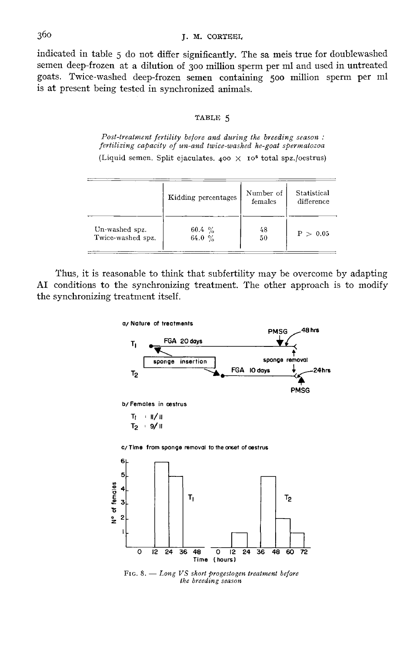indicated in table 5do not differ significantly. The sa meis true for doublewashed semen deep-frozen at a dilution of 300 million sperm per ml and used in untreated goats. Twice-washed deep-frozen semen containing 500 million sperm per ml is at present being tested in synchronized animals.

#### TABLE 5

Post-treatment fertility before and during the breeding season: fertilizing capacity of un-and twice-washed he-goat spermatozoa (Liquid semen. Split ejaculates. 400  $\times$  10<sup>6</sup> total spz./oestrus)

|                   | Kidding percentages | Number of<br>females | Statistical<br>difference |
|-------------------|---------------------|----------------------|---------------------------|
| Un-washed spz.    | $60.4\%$            | 48                   | P > 0.05                  |
| Twice-washed spz. | 64.0 $\%$           | 50                   |                           |

Thus, it is reasonable to think that subfertility may be overcome by adapting AI conditions to the synchronizing treatment. The other approach is to modify the synchronizing treatment itself.



FIG. 8.  $-$  Long VS short progestogen treatment before the breeding season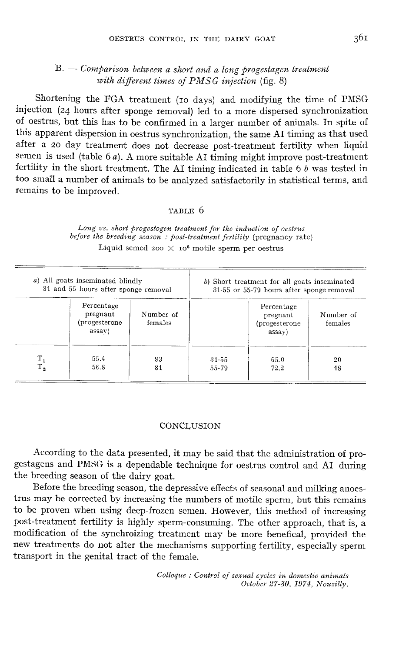## $B. - Comparison$  between a short and a long progestagen treatment with different times of  $PMSG$  injection (fig. 8)

Shortening the FGA treatment (10 days) and modifying the time of PMSG injection (24 hours after sponge removal) led to a more dispersed synchronization of oestrus, but this has to be confirmed in a larger number of animals. In spite of this apparent dispersion in oestrus synchronization, the same AI timing as that used<br>after a 20 day treatment does not decrease post-treatment fertility when liquid semen is used (table 6  $a$ ). A more suitable AI timing might improve post-treatment fertility in the short treatment. The AI timing indicated in table  $6 b$  was tested in too small a number of animals to be analyzed satisfactorily in statistical terms, and remains to be improved.

#### TABLE 6

|                    | a) All goats inseminated blindly<br>31 and 55 hours after sponge removal |                      |                    | b) Short treatment for all goats inseminated<br>31-55 or 55-79 hours after sponge removal |                      |
|--------------------|--------------------------------------------------------------------------|----------------------|--------------------|-------------------------------------------------------------------------------------------|----------------------|
|                    | Percentage<br>pregnant<br>(progesterone<br>assay)                        | Number of<br>females |                    | Percentage<br>pregnant<br>(progesterone)<br>assay)                                        | Number of<br>females |
| $T_{1}$<br>$T_{2}$ | 55.4<br>56.8                                                             | 83<br>81             | $31 - 55$<br>55-79 | 65.0<br>72.2                                                                              | 20<br>18             |

Long vs. short progestogen treatment for the induction of oestrus before the breeding season : post-treatment fertility (pregnancy rate) Liquid semed 200  $\times$  10<sup>6</sup> motile sperm per oestrus

#### **CONCLUSION**

According to the data presented, it may be said that the administration of progestagens and PMSG is a dependable technique for oestrus control and AI during the breeding season of the dairy goat.

Before the breeding season, the depressive effects of seasonal and milking anoestrus may be corrected by increasing the numbers of motile sperm, but this remains to be proven when using deep-frozen semen. However, this method of increasing post-treatment fertility is highly sperm-consuming. The other approach, that is, a modification of the synchroizing treatment may be more benefical, provided the new treatments do not alter the mechanisms supporting fertility, especially sperm transport in the genital tract of the female.

> Colloque : Contvol of sexual cycles in domestic animals Octobev 27-30, 1974, Nouzilly.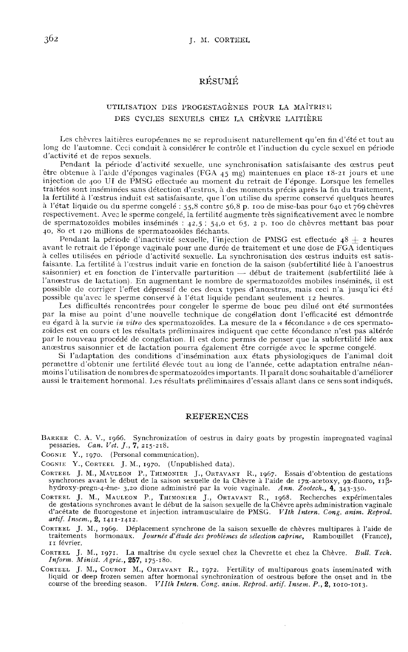# RÉSUMÉ

#### UTILISATION DES PROGESTAGÈNES POUR LA MAÎTRISI; DES CYCLES SEXUELS CHEZ I,A CHÈVRE LAITIÈRE

Les chèvres laitières européennes ne se reproduisent naturellement qu'en fin d'été et tout au long de l'automne. Ceci conduit à considérer le contrôle et l'induction du cycle sexuel en période d'activité et de repos sexuels.<br>Pendant la période d'activité sexuelle, une synchronisation satisfaisante des œstrus peut

être obtenue à l'aide d'éponges vaginales (FGA 45 mg) maintenues en place 18-21 jours et une injection de 400 UI de PMSG effectuée au moment du retrait de l'éponge. Lorsque les femelles<br>traitées sont inséminées sans détection d'œstrus, à des moments précis après la fin du traitement, la fertilité à l'œstrus induit est satisfaisante, que l'on utilise du sperme conservé quelques heures l'état liquide ou du sperme congelé : 55,8 contre 56,8 p. IOO de mise-bas pour 6.1o et 769chèvres respectivement. Avec le sperme congelé, la fertilité augmente très significativement avec le nombre à l'état liquide ou du sperme congelé : 55,8 contre 56,8 p. 100 de mise-bas pour 640 et 769 chèvres<br>respectivement. Avec le sperme congelé, la fertilité augmente très significativement avec le nombre<br>de spermatozoïdes mobi de spermatozoïdes mobiles inséminés :  $42.5$ ;  $54.0$  et  $65$ ,  $2$  p. 100 de chèvres mettant bas pour  $40$ ,  $80$  et 120 millions de spermatozoïdes fléchants.

Pendant la période d'inactivité sexuelle, l'injection de PMSG est effectuée  $48 \pm 2$  heures avant le retrait de l'éponge vaginale pour une durée de traitement et une dose de FGA identiques à celles utilisées en période d'activité sexuelle. La synchronisation des œstrus induits est satisfaisante. La fertilité à l'cxstrus induit varie en fonction de la saison (subfertilité liée à l'anoestrus saisonnier) et en fonction de l'intervalle parturition - début de traitement (subfertilité liée à l'anoestrus de lactation). En augmentant le nombre de spermatozoïdes mobiles inséminés, il est possible de corriger l'effet dépressif de ces deux types d'anœstrus, mais ceci n'a jusqu'ici ét3 possible qu'avec le sperme conservé à l'état liquide pendant seulement i2 heures.

Les difficultés rencontrées pour congeler le sperme de bouc peu dilué ont été surmontées par la mise au point d'une nouvelle technique de congélation dont l'efficacité est démontrée<br>eu égard à la survie in vitro des spermatozoïdes. La mesure de la « fécondance » de ces spermatozoïdes est en cours et les résultats préliminaires indiquent que cette fécondance n'est pas altérée par le nouveau procédé de congélation. Il est donc permis de penser que la subfcrtilité liée aux anœstrus saisonnier et de lactation pourra également être corrigée avec le sperme congelé.

Si l'adaptation des conditions d'insémination aux états physiologiques de l'animal doit permettre d'obtenir une fertilité élevée tout au long de l'année, cette adaptation entraîne néanmoins l'utilisation de nombres de spermatozoïdes importants. Il paraît donc souhaitable d'améliorer aussi le traitement hormonal. Les résultats préliminaires d'essais allant dans ce sens sont indiqués.

#### REFERENCES

BARKER C. A. V., 1966. Synchronization of oestrus in dairy goats by progestin impregnated vaginal pessaries. Can. Vet. J., 7, 215-218.<br>Cognie Y., 1970. (Personal communication).

- 
- COGNIE Y., CORTEEL J. M., 1970. (Unpublished data).
- BARKER C. A. V., 1966. Synchronization of oestrus in dairy goats by progestin impregnated vaginal<br>pessaries. Can. Vet. J., 7, 215-218.<br>COGNIE Y., 1970. (Personal communication).<br>COGNIE Y., CORTEEL J. M., 1970. (Unpublished COGNIE<br>CORTEEL<br>synchr<br>hydro:<br>CORTEEL<br>de ges REFERENCES<br>
REFERENCES<br>
PESSATIES. Can. Vet. J., 7, 215-218.<br>
CONIE Y., 1996. (Personal communication).<br>
CONIE Y., 1970. (PERSATIEM).<br>
CONIE Y., CORTEEL J. M., 1970. (Unpublished data).<br>
RETEEL J. M., MAULEON P., THIMONIER synchrones avant le début de la saison sexuelle de la Chèvre à l'aide de 17 $\alpha$ -acetoxy,  $9\alpha$ -fluoro, 11 $\beta$ -hydroxy-pregn-4-ène-3,20 dione administré par la voie vaginale. Ann. Zootech., 4, 343-350.<br>
RETEL J. M., MAULEO
- OGNIE Y., 1970. (Personal communication).<br>
OGNIE Y., CORTEEL J. M., 1970. (Unpublished data).<br>
DRIEEL J. M., MAULEON P., THIMONIER J., ORTAVANT R., 1967. Essais d'obtention de gestations<br>
synchrones avant le début de la sa CORTEEL J. M., MAULEON P., THIMONIER J., ORTAVANT R., 1968. Recherches expérimentales de gestations synchrones avant le début de la saison sexuelle de la Chèvre après administration vaginale d'acétate de fluorogestone et i
- J. ML, 1969. Deplacement synchrone de la saison sexuelle de chèvres multipares a l'aide de traitements hormonaux. Journée d'étude des problèmes de sélection caprine, Rambouillet (France), 11 février. artif. Insem., 2, 1411-1412.<br>CORTEEL J. M., 1969. Déplacement synchrone de la saison sexuelle de chèvres multipares à l'aide de<br>traitements hormonaux. Journée d'étude des problèmes de sélection caprine, Rambouillet (France COKTEL J. M., 1909. Deplacement<br>
traitements hormonaux. Journée<br>
I février.<br>
CORTEEL J. M., 1971. La maîtrise d<br>
Inform. Minist. Agric., 257, 175-180.<br>
CORTEEL J. M., COUROT M., ORTAV.<br>
liquid or deep frozen semen after h
- 
- IT février.<br>
CORTEEL J. M., 1971. La maîtrise du cycle sexuel chez la Chevrette et chez la Chèvre. Bull. Tech.<br> *Inform. Minist. Agric.*, 257, 175-180.<br>
CORTEEL J. M., CORTOR M., ORTAVANT R., 1972. Fertility of multiparous liquid or deep frozen semen after hormonal synchronization of oestrous before the onset and in the course of the breeding season. *VIIth Intern. Cong. anim. Reprod. artif. Insem.*  $P_1$ ,  $Q$ , 1010-1013.